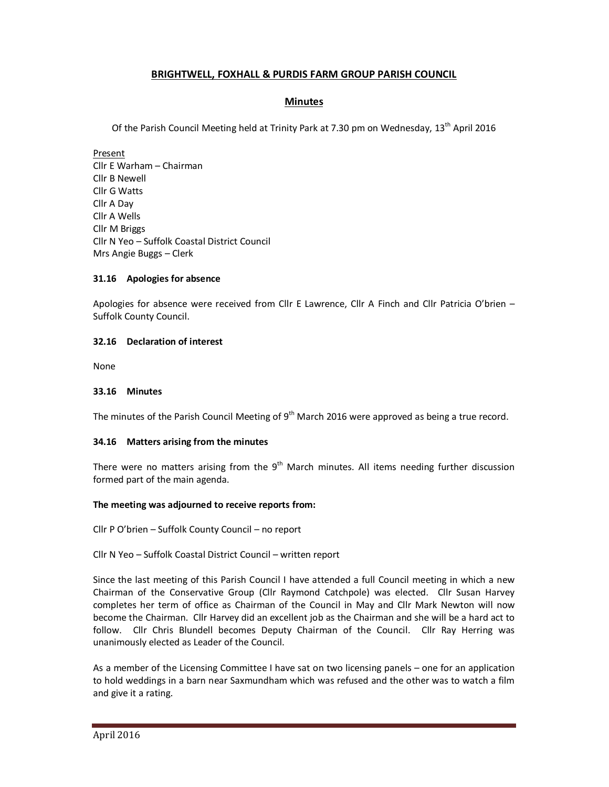# **BRIGHTWELL, FOXHALL & PURDIS FARM GROUP PARISH COUNCIL**

## **Minutes**

Of the Parish Council Meeting held at Trinity Park at 7.30 pm on Wednesday, 13<sup>th</sup> April 2016

Present Cllr E Warham – Chairman Cllr B Newell Cllr G Watts Cllr A Day Cllr A Wells Cllr M Briggs Cllr N Yeo – Suffolk Coastal District Council Mrs Angie Buggs – Clerk

## **31.16 Apologies for absence**

Apologies for absence were received from Cllr E Lawrence, Cllr A Finch and Cllr Patricia O'brien – Suffolk County Council.

### **32.16 Declaration of interest**

None

#### **33.16 Minutes**

The minutes of the Parish Council Meeting of 9<sup>th</sup> March 2016 were approved as being a true record.

#### **34.16 Matters arising from the minutes**

There were no matters arising from the  $9<sup>th</sup>$  March minutes. All items needing further discussion formed part of the main agenda.

#### **The meeting was adjourned to receive reports from:**

Cllr P O'brien – Suffolk County Council – no report

#### Cllr N Yeo – Suffolk Coastal District Council – written report

Since the last meeting of this Parish Council I have attended a full Council meeting in which a new Chairman of the Conservative Group (Cllr Raymond Catchpole) was elected. Cllr Susan Harvey completes her term of office as Chairman of the Council in May and Cllr Mark Newton will now become the Chairman. Cllr Harvey did an excellent job as the Chairman and she will be a hard act to follow. Cllr Chris Blundell becomes Deputy Chairman of the Council. Cllr Ray Herring was unanimously elected as Leader of the Council.

As a member of the Licensing Committee I have sat on two licensing panels – one for an application to hold weddings in a barn near Saxmundham which was refused and the other was to watch a film and give it a rating.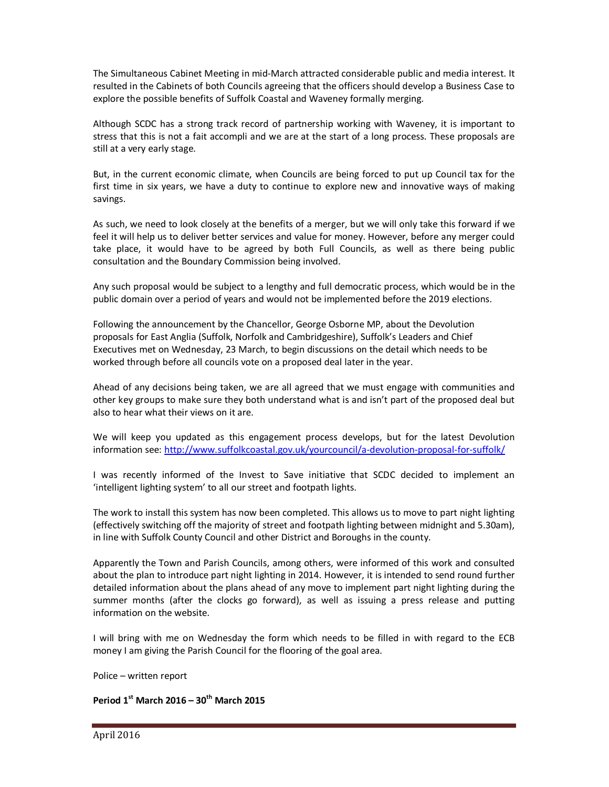The Simultaneous Cabinet Meeting in mid-March attracted considerable public and media interest. It resulted in the Cabinets of both Councils agreeing that the officers should develop a Business Case to explore the possible benefits of Suffolk Coastal and Waveney formally merging.

Although SCDC has a strong track record of partnership working with Waveney, it is important to stress that this is not a fait accompli and we are at the start of a long process. These proposals are still at a very early stage.

But, in the current economic climate, when Councils are being forced to put up Council tax for the first time in six years, we have a duty to continue to explore new and innovative ways of making savings.

As such, we need to look closely at the benefits of a merger, but we will only take this forward if we feel it will help us to deliver better services and value for money. However, before any merger could take place, it would have to be agreed by both Full Councils, as well as there being public consultation and the Boundary Commission being involved.

Any such proposal would be subject to a lengthy and full democratic process, which would be in the public domain over a period of years and would not be implemented before the 2019 elections.

Following the announcement by the Chancellor, George Osborne MP, about the Devolution proposals for East Anglia (Suffolk, Norfolk and Cambridgeshire), Suffolk's Leaders and Chief Executives met on Wednesday, 23 March, to begin discussions on the detail which needs to be worked through before all councils vote on a proposed deal later in the year.

Ahead of any decisions being taken, we are all agreed that we must engage with communities and other key groups to make sure they both understand what is and isn't part of the proposed deal but also to hear what their views on it are.

We will keep you updated as this engagement process develops, but for the latest Devolution information see: http://www.suffolkcoastal.gov.uk/yourcouncil/a-devolution-proposal-for-suffolk/

I was recently informed of the Invest to Save initiative that SCDC decided to implement an 'intelligent lighting system' to all our street and footpath lights.

The work to install this system has now been completed. This allows us to move to part night lighting (effectively switching off the majority of street and footpath lighting between midnight and 5.30am), in line with Suffolk County Council and other District and Boroughs in the county.

Apparently the Town and Parish Councils, among others, were informed of this work and consulted about the plan to introduce part night lighting in 2014. However, it is intended to send round further detailed information about the plans ahead of any move to implement part night lighting during the summer months (after the clocks go forward), as well as issuing a press release and putting information on the website.

I will bring with me on Wednesday the form which needs to be filled in with regard to the ECB money I am giving the Parish Council for the flooring of the goal area.

Police – written report

**Period 1st March 2016 – 30th March 2015**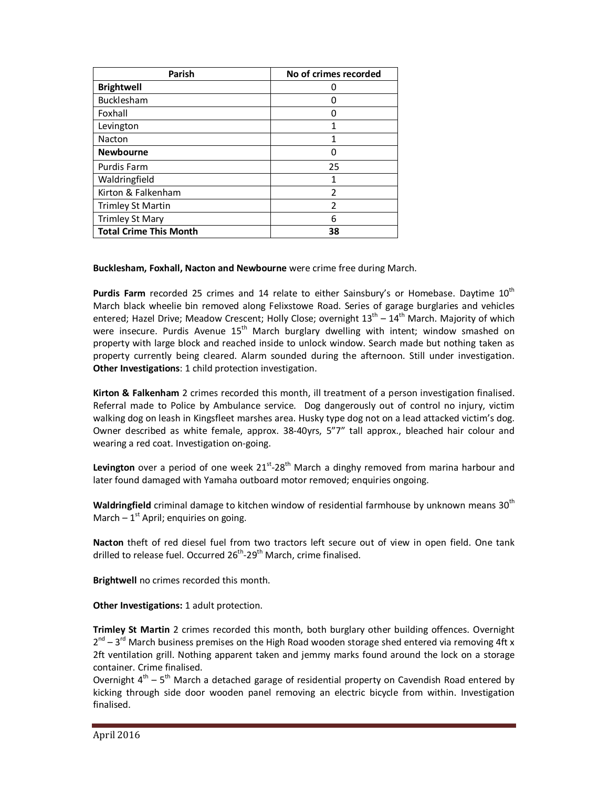| <b>Parish</b>                 | No of crimes recorded |
|-------------------------------|-----------------------|
| <b>Brightwell</b>             |                       |
| Bucklesham                    |                       |
| Foxhall                       |                       |
| Levington                     |                       |
| Nacton                        |                       |
| <b>Newbourne</b>              |                       |
| <b>Purdis Farm</b>            | 25                    |
| Waldringfield                 | 1                     |
| Kirton & Falkenham            | $\mathcal{P}$         |
| <b>Trimley St Martin</b>      | $\overline{2}$        |
| <b>Trimley St Mary</b>        | 6                     |
| <b>Total Crime This Month</b> | 38                    |

**Bucklesham, Foxhall, Nacton and Newbourne** were crime free during March.

**Purdis Farm** recorded 25 crimes and 14 relate to either Sainsbury's or Homebase. Daytime 10<sup>th</sup> March black wheelie bin removed along Felixstowe Road. Series of garage burglaries and vehicles entered; Hazel Drive; Meadow Crescent; Holly Close; overnight  $13<sup>th</sup> - 14<sup>th</sup>$  March. Majority of which were insecure. Purdis Avenue 15<sup>th</sup> March burglary dwelling with intent; window smashed on property with large block and reached inside to unlock window. Search made but nothing taken as property currently being cleared. Alarm sounded during the afternoon. Still under investigation. **Other Investigations**: 1 child protection investigation.

**Kirton & Falkenham** 2 crimes recorded this month, ill treatment of a person investigation finalised. Referral made to Police by Ambulance service. Dog dangerously out of control no injury, victim walking dog on leash in Kingsfleet marshes area. Husky type dog not on a lead attacked victim's dog. Owner described as white female, approx. 38-40yrs, 5"7" tall approx., bleached hair colour and wearing a red coat. Investigation on-going.

Levington over a period of one week 21<sup>st</sup>-28<sup>th</sup> March a dinghy removed from marina harbour and later found damaged with Yamaha outboard motor removed; enquiries ongoing.

**Waldringfield** criminal damage to kitchen window of residential farmhouse by unknown means 30th March  $-1^{st}$  April; enquiries on going.

**Nacton** theft of red diesel fuel from two tractors left secure out of view in open field. One tank drilled to release fuel. Occurred 26<sup>th</sup>-29<sup>th</sup> March, crime finalised.

**Brightwell** no crimes recorded this month.

**Other Investigations:** 1 adult protection.

**Trimley St Martin** 2 crimes recorded this month, both burglary other building offences. Overnight  $2^{nd}$  – 3<sup>rd</sup> March business premises on the High Road wooden storage shed entered via removing 4ft x 2ft ventilation grill. Nothing apparent taken and jemmy marks found around the lock on a storage container. Crime finalised.

Overnight  $4<sup>th</sup> - 5<sup>th</sup>$  March a detached garage of residential property on Cavendish Road entered by kicking through side door wooden panel removing an electric bicycle from within. Investigation finalised.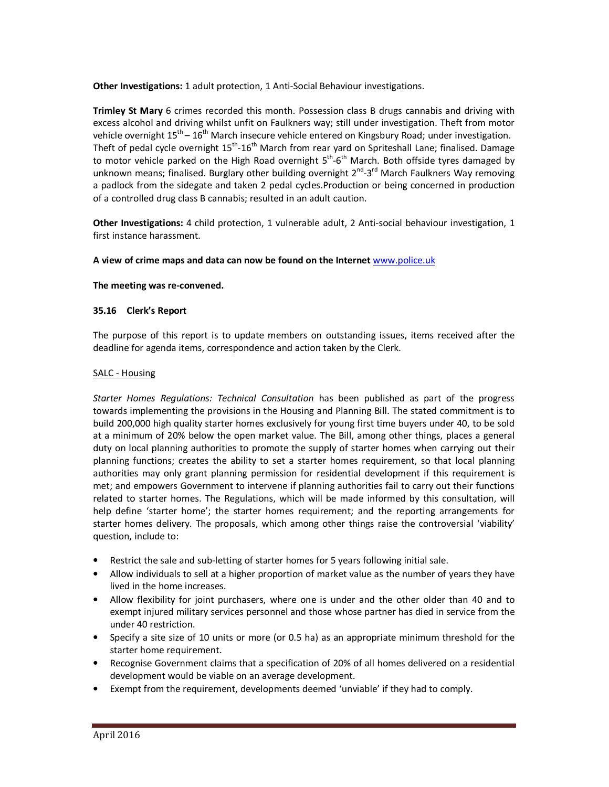**Other Investigations:** 1 adult protection, 1 Anti-Social Behaviour investigations.

**Trimley St Mary** 6 crimes recorded this month. Possession class B drugs cannabis and driving with excess alcohol and driving whilst unfit on Faulkners way; still under investigation. Theft from motor vehicle overnight  $15<sup>th</sup> - 16<sup>th</sup>$  March insecure vehicle entered on Kingsbury Road; under investigation. Theft of pedal cycle overnight 15<sup>th</sup>-16<sup>th</sup> March from rear yard on Spriteshall Lane; finalised. Damage to motor vehicle parked on the High Road overnight  $5^{th}$ -6<sup>th</sup> March. Both offside tyres damaged by unknown means; finalised. Burglary other building overnight  $2^{nd}$ -3<sup>rd</sup> March Faulkners Way removing a padlock from the sidegate and taken 2 pedal cycles.Production or being concerned in production of a controlled drug class B cannabis; resulted in an adult caution.

**Other Investigations:** 4 child protection, 1 vulnerable adult, 2 Anti-social behaviour investigation, 1 first instance harassment.

### **A view of crime maps and data can now be found on the Internet** www.police.uk

### **The meeting was re-convened.**

### **35.16 Clerk's Report**

The purpose of this report is to update members on outstanding issues, items received after the deadline for agenda items, correspondence and action taken by the Clerk.

### SALC - Housing

*Starter Homes Regulations: Technical Consultation* has been published as part of the progress towards implementing the provisions in the Housing and Planning Bill. The stated commitment is to build 200,000 high quality starter homes exclusively for young first time buyers under 40, to be sold at a minimum of 20% below the open market value. The Bill, among other things, places a general duty on local planning authorities to promote the supply of starter homes when carrying out their planning functions; creates the ability to set a starter homes requirement, so that local planning authorities may only grant planning permission for residential development if this requirement is met; and empowers Government to intervene if planning authorities fail to carry out their functions related to starter homes. The Regulations, which will be made informed by this consultation, will help define 'starter home'; the starter homes requirement; and the reporting arrangements for starter homes delivery. The proposals, which among other things raise the controversial 'viability' question, include to:

- Restrict the sale and sub-letting of starter homes for 5 years following initial sale.
- Allow individuals to sell at a higher proportion of market value as the number of years they have lived in the home increases.
- Allow flexibility for joint purchasers, where one is under and the other older than 40 and to exempt injured military services personnel and those whose partner has died in service from the under 40 restriction.
- Specify a site size of 10 units or more (or 0.5 ha) as an appropriate minimum threshold for the starter home requirement.
- Recognise Government claims that a specification of 20% of all homes delivered on a residential development would be viable on an average development.
- Exempt from the requirement, developments deemed 'unviable' if they had to comply.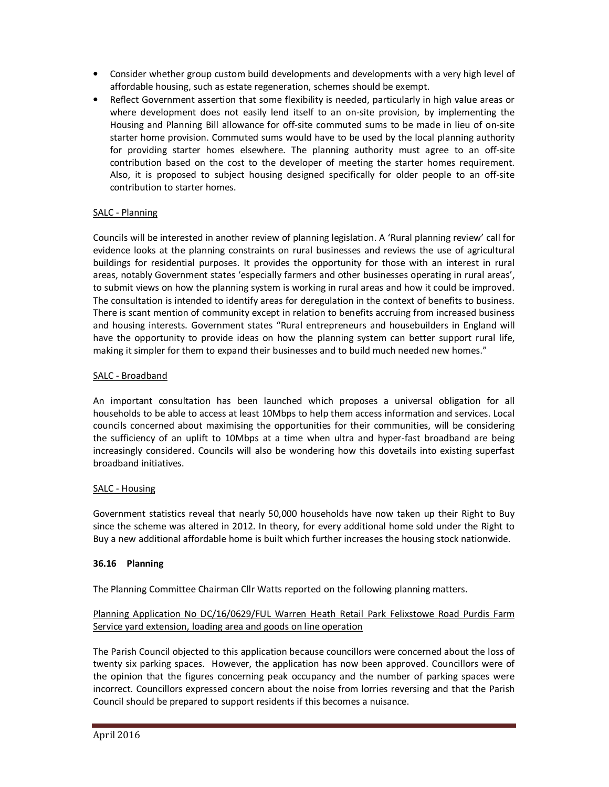- Consider whether group custom build developments and developments with a very high level of affordable housing, such as estate regeneration, schemes should be exempt.
- Reflect Government assertion that some flexibility is needed, particularly in high value areas or where development does not easily lend itself to an on-site provision, by implementing the Housing and Planning Bill allowance for off-site commuted sums to be made in lieu of on-site starter home provision. Commuted sums would have to be used by the local planning authority for providing starter homes elsewhere. The planning authority must agree to an off-site contribution based on the cost to the developer of meeting the starter homes requirement. Also, it is proposed to subject housing designed specifically for older people to an off-site contribution to starter homes.

# SALC - Planning

Councils will be interested in another review of planning legislation. A 'Rural planning review' call for evidence looks at the planning constraints on rural businesses and reviews the use of agricultural buildings for residential purposes. It provides the opportunity for those with an interest in rural areas, notably Government states 'especially farmers and other businesses operating in rural areas', to submit views on how the planning system is working in rural areas and how it could be improved. The consultation is intended to identify areas for deregulation in the context of benefits to business. There is scant mention of community except in relation to benefits accruing from increased business and housing interests. Government states "Rural entrepreneurs and housebuilders in England will have the opportunity to provide ideas on how the planning system can better support rural life, making it simpler for them to expand their businesses and to build much needed new homes."

# SALC - Broadband

An important consultation has been launched which proposes a universal obligation for all households to be able to access at least 10Mbps to help them access information and services. Local councils concerned about maximising the opportunities for their communities, will be considering the sufficiency of an uplift to 10Mbps at a time when ultra and hyper-fast broadband are being increasingly considered. Councils will also be wondering how this dovetails into existing superfast broadband initiatives.

## SALC - Housing

Government statistics reveal that nearly 50,000 households have now taken up their Right to Buy since the scheme was altered in 2012. In theory, for every additional home sold under the Right to Buy a new additional affordable home is built which further increases the housing stock nationwide.

## **36.16 Planning**

The Planning Committee Chairman Cllr Watts reported on the following planning matters.

# Planning Application No DC/16/0629/FUL Warren Heath Retail Park Felixstowe Road Purdis Farm Service yard extension, loading area and goods on line operation

The Parish Council objected to this application because councillors were concerned about the loss of twenty six parking spaces. However, the application has now been approved. Councillors were of the opinion that the figures concerning peak occupancy and the number of parking spaces were incorrect. Councillors expressed concern about the noise from lorries reversing and that the Parish Council should be prepared to support residents if this becomes a nuisance.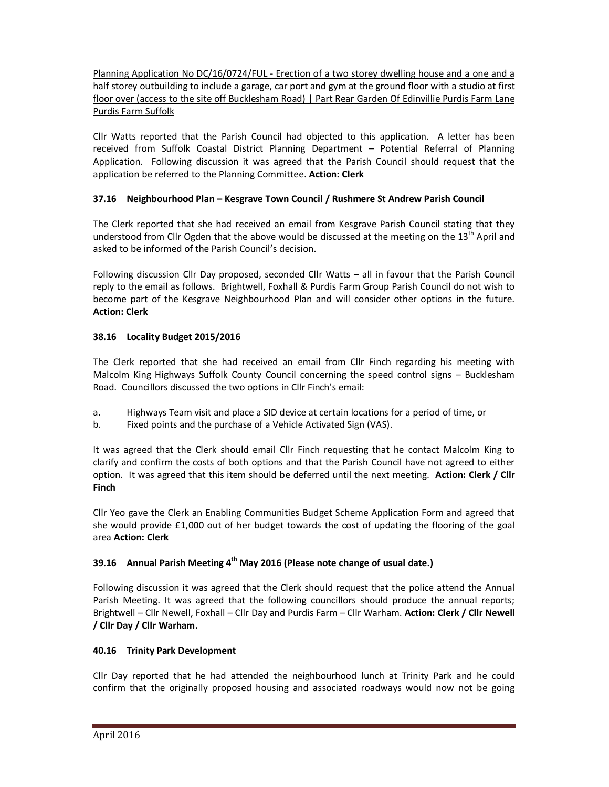Planning Application No DC/16/0724/FUL - Erection of a two storey dwelling house and a one and a half storey outbuilding to include a garage, car port and gym at the ground floor with a studio at first floor over (access to the site off Bucklesham Road) | Part Rear Garden Of Edinvillie Purdis Farm Lane Purdis Farm Suffolk

Cllr Watts reported that the Parish Council had objected to this application. A letter has been received from Suffolk Coastal District Planning Department – Potential Referral of Planning Application. Following discussion it was agreed that the Parish Council should request that the application be referred to the Planning Committee. **Action: Clerk**

# **37.16 Neighbourhood Plan – Kesgrave Town Council / Rushmere St Andrew Parish Council**

The Clerk reported that she had received an email from Kesgrave Parish Council stating that they understood from Cllr Ogden that the above would be discussed at the meeting on the  $13<sup>th</sup>$  April and asked to be informed of the Parish Council's decision.

Following discussion Cllr Day proposed, seconded Cllr Watts – all in favour that the Parish Council reply to the email as follows. Brightwell, Foxhall & Purdis Farm Group Parish Council do not wish to become part of the Kesgrave Neighbourhood Plan and will consider other options in the future. **Action: Clerk** 

# **38.16 Locality Budget 2015/2016**

The Clerk reported that she had received an email from Cllr Finch regarding his meeting with Malcolm King Highways Suffolk County Council concerning the speed control signs – Bucklesham Road. Councillors discussed the two options in Cllr Finch's email:

- a. Highways Team visit and place a SID device at certain locations for a period of time, or
- b. Fixed points and the purchase of a Vehicle Activated Sign (VAS).

It was agreed that the Clerk should email Cllr Finch requesting that he contact Malcolm King to clarify and confirm the costs of both options and that the Parish Council have not agreed to either option. It was agreed that this item should be deferred until the next meeting. **Action: Clerk / Cllr Finch** 

Cllr Yeo gave the Clerk an Enabling Communities Budget Scheme Application Form and agreed that she would provide £1,000 out of her budget towards the cost of updating the flooring of the goal area **Action: Clerk** 

# **39.16 Annual Parish Meeting 4th May 2016 (Please note change of usual date.)**

Following discussion it was agreed that the Clerk should request that the police attend the Annual Parish Meeting. It was agreed that the following councillors should produce the annual reports; Brightwell – Cllr Newell, Foxhall – Cllr Day and Purdis Farm – Cllr Warham. **Action: Clerk / Cllr Newell / Cllr Day / Cllr Warham.** 

## **40.16 Trinity Park Development**

Cllr Day reported that he had attended the neighbourhood lunch at Trinity Park and he could confirm that the originally proposed housing and associated roadways would now not be going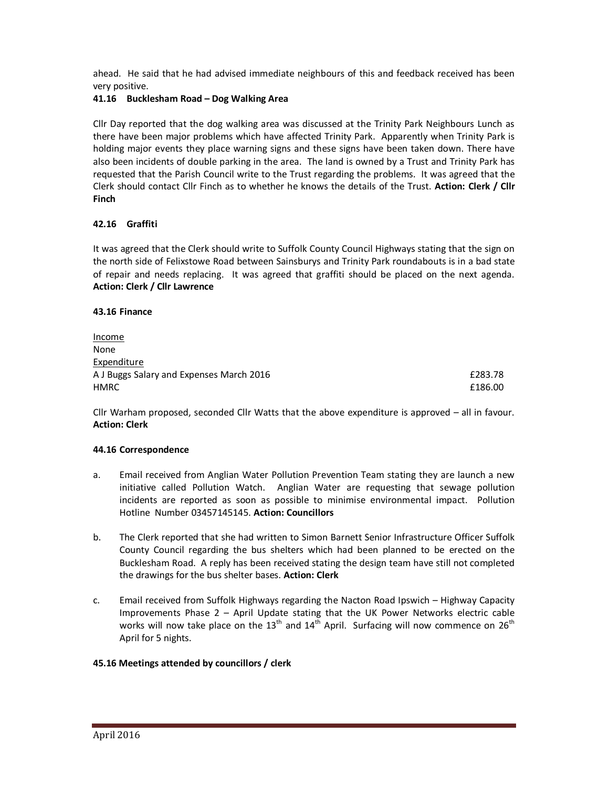ahead. He said that he had advised immediate neighbours of this and feedback received has been very positive.

### **41.16 Bucklesham Road – Dog Walking Area**

Cllr Day reported that the dog walking area was discussed at the Trinity Park Neighbours Lunch as there have been major problems which have affected Trinity Park. Apparently when Trinity Park is holding major events they place warning signs and these signs have been taken down. There have also been incidents of double parking in the area. The land is owned by a Trust and Trinity Park has requested that the Parish Council write to the Trust regarding the problems. It was agreed that the Clerk should contact Cllr Finch as to whether he knows the details of the Trust. **Action: Clerk / Cllr Finch** 

## **42.16 Graffiti**

It was agreed that the Clerk should write to Suffolk County Council Highways stating that the sign on the north side of Felixstowe Road between Sainsburys and Trinity Park roundabouts is in a bad state of repair and needs replacing. It was agreed that graffiti should be placed on the next agenda. **Action: Clerk / Cllr Lawrence** 

#### **43.16 Finance**

| Income                                   |         |
|------------------------------------------|---------|
| None                                     |         |
| Expenditure                              |         |
| A J Buggs Salary and Expenses March 2016 | £283.78 |
| <b>HMRC</b>                              | £186.00 |

Cllr Warham proposed, seconded Cllr Watts that the above expenditure is approved – all in favour. **Action: Clerk** 

#### **44.16 Correspondence**

- a. Email received from Anglian Water Pollution Prevention Team stating they are launch a new initiative called Pollution Watch. Anglian Water are requesting that sewage pollution incidents are reported as soon as possible to minimise environmental impact. Pollution Hotline Number 03457145145. **Action: Councillors**
- b. The Clerk reported that she had written to Simon Barnett Senior Infrastructure Officer Suffolk County Council regarding the bus shelters which had been planned to be erected on the Bucklesham Road. A reply has been received stating the design team have still not completed the drawings for the bus shelter bases. **Action: Clerk**
- c. Email received from Suffolk Highways regarding the Nacton Road Ipswich Highway Capacity Improvements Phase 2 – April Update stating that the UK Power Networks electric cable works will now take place on the 13<sup>th</sup> and 14<sup>th</sup> April. Surfacing will now commence on 26<sup>th</sup> April for 5 nights.

#### **45.16 Meetings attended by councillors / clerk**